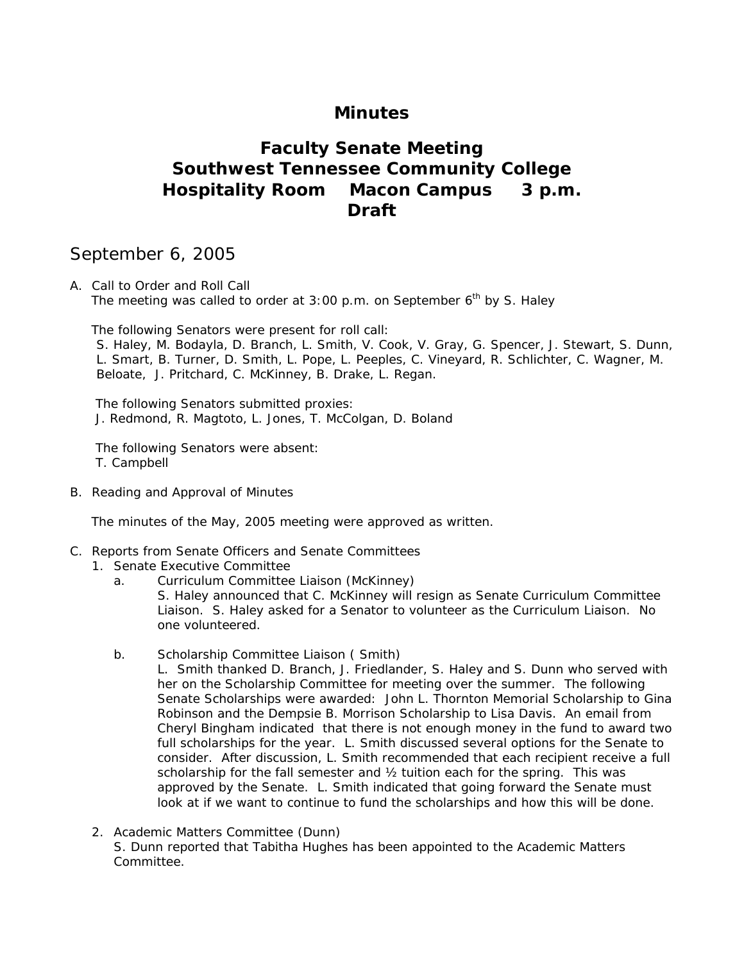# **Minutes**

# **Faculty Senate Meeting Southwest Tennessee Community College Hospitality Room Macon Campus 3 p.m. Draft**

# September 6, 2005

A. Call to Order and Roll Call The meeting was called to order at 3:00 p.m. on September  $6<sup>th</sup>$  by S. Haley

The following Senators were present for roll call:

S. Haley, M. Bodayla, D. Branch, L. Smith, V. Cook, V. Gray, G. Spencer, J. Stewart, S. Dunn, L. Smart, B. Turner, D. Smith, L. Pope, L. Peeples, C. Vineyard, R. Schlichter, C. Wagner, M. Beloate, J. Pritchard, C. McKinney, B. Drake, L. Regan.

 The following Senators submitted proxies: J. Redmond, R. Magtoto, L. Jones, T. McColgan, D. Boland

 The following Senators were absent: T. Campbell

B. Reading and Approval of Minutes

The minutes of the May, 2005 meeting were approved as written.

- C. Reports from Senate Officers and Senate Committees
	- 1. Senate Executive Committee
		- a. Curriculum Committee Liaison (McKinney)

S. Haley announced that C. McKinney will resign as Senate Curriculum Committee Liaison. S. Haley asked for a Senator to volunteer as the Curriculum Liaison. No one volunteered.

b. Scholarship Committee Liaison ( Smith)

L. Smith thanked D. Branch, J. Friedlander, S. Haley and S. Dunn who served with her on the Scholarship Committee for meeting over the summer. The following Senate Scholarships were awarded: John L. Thornton Memorial Scholarship to Gina Robinson and the Dempsie B. Morrison Scholarship to Lisa Davis. An email from Cheryl Bingham indicated that there is not enough money in the fund to award two full scholarships for the year. L. Smith discussed several options for the Senate to consider. After discussion, L. Smith recommended that each recipient receive a full scholarship for the fall semester and  $\frac{1}{2}$  tuition each for the spring. This was approved by the Senate. L. Smith indicated that going forward the Senate must look at if we want to continue to fund the scholarships and how this will be done.

2. Academic Matters Committee (Dunn) S. Dunn reported that Tabitha Hughes has been appointed to the Academic Matters Committee.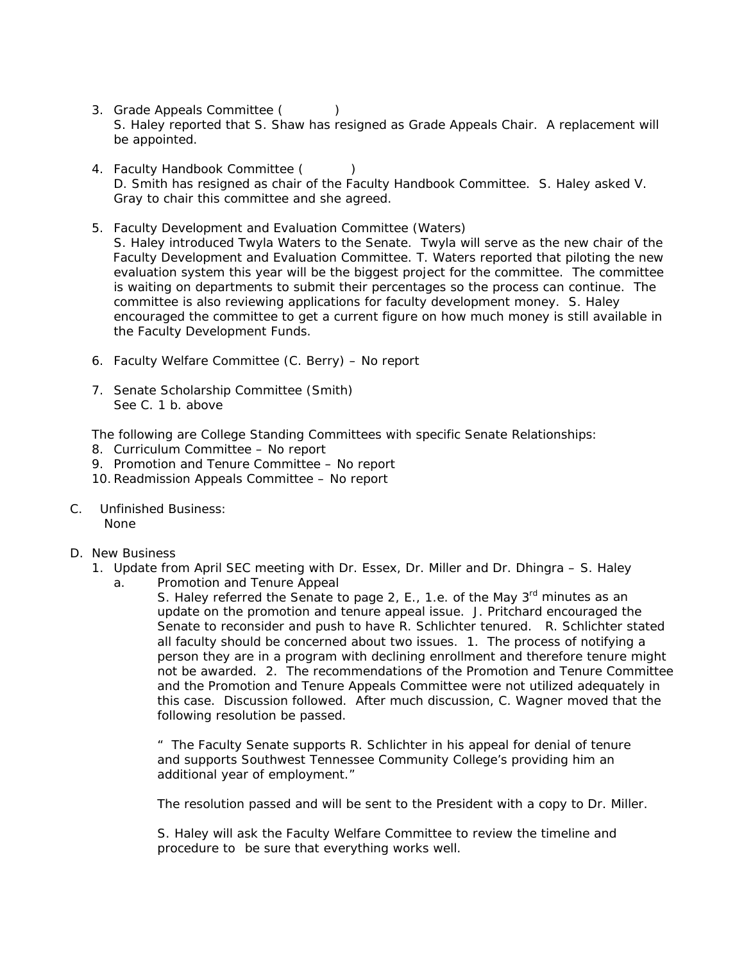- 3. Grade Appeals Committee (
) S. Haley reported that S. Shaw has resigned as Grade Appeals Chair. A replacement will be appointed.
- 4. Faculty Handbook Committee () D. Smith has resigned as chair of the Faculty Handbook Committee. S. Haley asked V. Gray to chair this committee and she agreed.
- 5. Faculty Development and Evaluation Committee (Waters) S. Haley introduced Twyla Waters to the Senate. Twyla will serve as the new chair of the Faculty Development and Evaluation Committee. T. Waters reported that piloting the new evaluation system this year will be the biggest project for the committee. The committee is waiting on departments to submit their percentages so the process can continue. The committee is also reviewing applications for faculty development money. S. Haley encouraged the committee to get a current figure on how much money is still available in the Faculty Development Funds.
- 6. Faculty Welfare Committee (C. Berry) No report
- 7. Senate Scholarship Committee (Smith) See C. 1 b. above

The following are College Standing Committees with specific Senate Relationships:

- 8. Curriculum Committee No report
- 9. Promotion and Tenure Committee No report
- 10.Readmission Appeals Committee No report
- C. Unfinished Business: None
- D. New Business
	- 1. Update from April SEC meeting with Dr. Essex, Dr. Miller and Dr. Dhingra S. Haley
		- a. Promotion and Tenure Appeal

S. Haley referred the Senate to page 2, E., 1.e. of the May  $3<sup>rd</sup>$  minutes as an update on the promotion and tenure appeal issue. J. Pritchard encouraged the Senate to reconsider and push to have R. Schlichter tenured. R. Schlichter stated all faculty should be concerned about two issues. 1. The process of notifying a person they are in a program with declining enrollment and therefore tenure might not be awarded. 2. The recommendations of the Promotion and Tenure Committee and the Promotion and Tenure Appeals Committee were not utilized adequately in this case. Discussion followed. After much discussion, C. Wagner moved that the following resolution be passed.

" The Faculty Senate supports R. Schlichter in his appeal for denial of tenure and supports Southwest Tennessee Community College's providing him an additional year of employment."

The resolution passed and will be sent to the President with a copy to Dr. Miller.

S. Haley will ask the Faculty Welfare Committee to review the timeline and procedure to be sure that everything works well.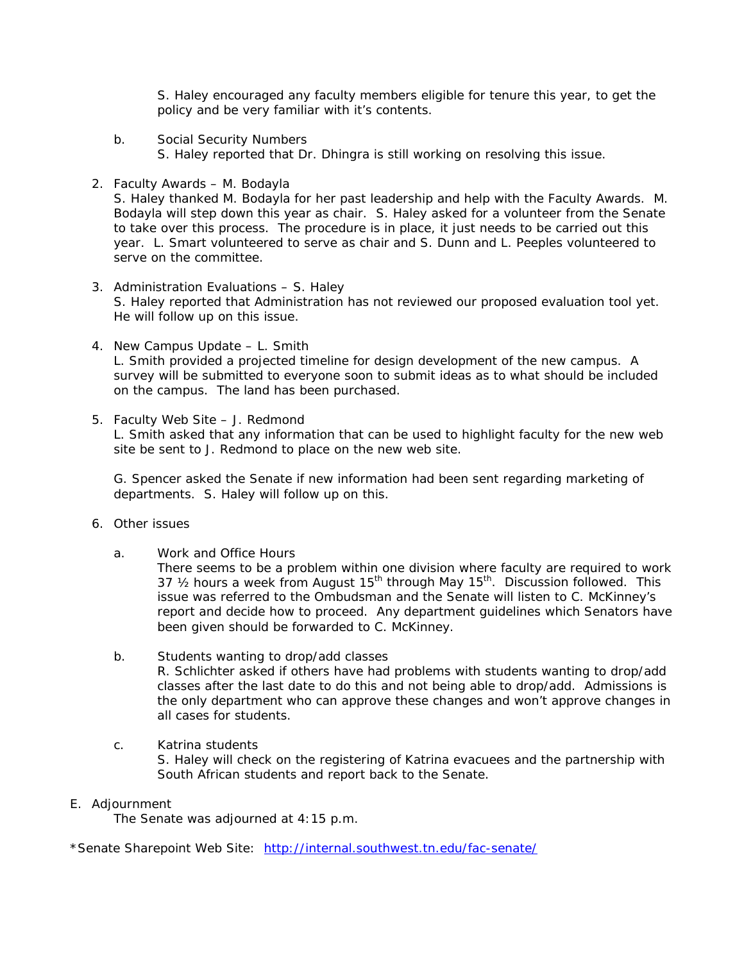S. Haley encouraged any faculty members eligible for tenure this year, to get the policy and be very familiar with it's contents.

- b. Social Security Numbers S. Haley reported that Dr. Dhingra is still working on resolving this issue.
- 2. Faculty Awards M. Bodayla

 S. Haley thanked M. Bodayla for her past leadership and help with the Faculty Awards. M. Bodayla will step down this year as chair. S. Haley asked for a volunteer from the Senate to take over this process. The procedure is in place, it just needs to be carried out this year. L. Smart volunteered to serve as chair and S. Dunn and L. Peeples volunteered to serve on the committee.

- 3. Administration Evaluations S. Haley S. Haley reported that Administration has not reviewed our proposed evaluation tool yet. He will follow up on this issue.
- 4. New Campus Update L. Smith L. Smith provided a projected timeline for design development of the new campus. A survey will be submitted to everyone soon to submit ideas as to what should be included on the campus. The land has been purchased.
- 5. Faculty Web Site J. Redmond

L. Smith asked that any information that can be used to highlight faculty for the new web site be sent to J. Redmond to place on the new web site.

 G. Spencer asked the Senate if new information had been sent regarding marketing of departments. S. Haley will follow up on this.

- 6. Other issues
	- a. Work and Office Hours

 There seems to be a problem within one division where faculty are required to work 37  $\frac{1}{2}$  hours a week from August 15<sup>th</sup> through May 15<sup>th</sup>. Discussion followed. This issue was referred to the Ombudsman and the Senate will listen to C. McKinney's report and decide how to proceed. Any department guidelines which Senators have been given should be forwarded to C. McKinney.

- b. Students wanting to drop/add classes R. Schlichter asked if others have had problems with students wanting to drop/add classes after the last date to do this and not being able to drop/add. Admissions is the only department who can approve these changes and won't approve changes in all cases for students.
- c. Katrina students S. Haley will check on the registering of Katrina evacuees and the partnership with South African students and report back to the Senate.

#### E. Adjournment

The Senate was adjourned at 4:15 p.m.

\*Senate Sharepoint Web Site: <http://internal.southwest.tn.edu/fac-senate/>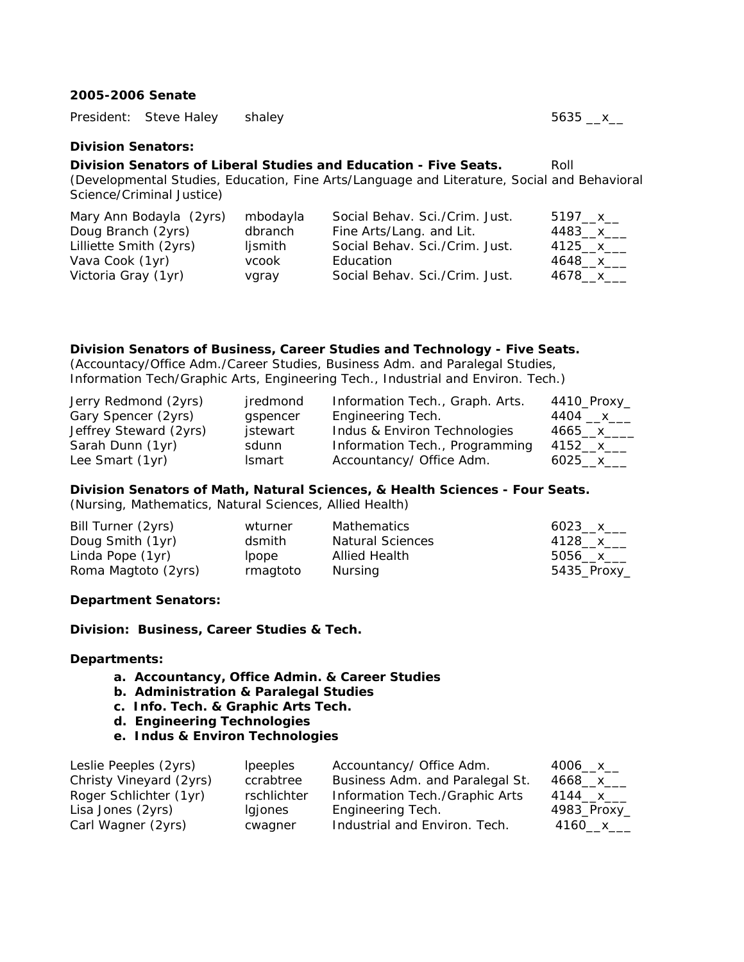### **2005-2006 Senate**

|                           | President: Steve Haley    | shaley                                                                                      | 5635 __x__ |
|---------------------------|---------------------------|---------------------------------------------------------------------------------------------|------------|
| <b>Division Senators:</b> |                           |                                                                                             |            |
|                           |                           | Division Senators of Liberal Studies and Education - Five Seats.                            | Roll       |
|                           |                           | (Developmental Studies, Education, Fine Arts/Language and Literature, Social and Behavioral |            |
|                           | Science/Criminal Justice) |                                                                                             |            |

| Mary Ann Bodayla (2yrs) | mbodayla | Social Behav. Sci./Crim. Just. | 5197__x__  |
|-------------------------|----------|--------------------------------|------------|
| Doug Branch (2yrs)      | dbranch  | Fine Arts/Lang. and Lit.       | 4483__x___ |
| Lilliette Smith (2yrs)  | ljsmith  | Social Behav. Sci./Crim. Just. | 4125__x___ |
| Vava Cook (1yr)         | vcook    | Education                      | 4648 x     |
| Victoria Gray (1yr)     | vgray    | Social Behav. Sci./Crim. Just. | 4678 x     |

#### **Division Senators of Business, Career Studies and Technology - Five Seats.**

(Accountacy/Office Adm./Career Studies, Business Adm. and Paralegal Studies, Information Tech/Graphic Arts, Engineering Tech., Industrial and Environ. Tech.)

| Jerry Redmond (2yrs)   | jredmond      | Information Tech., Graph. Arts. | 4410_Proxy_ |
|------------------------|---------------|---------------------------------|-------------|
| Gary Spencer (2yrs)    | gspencer      | Engineering Tech.               | 4404 __x___ |
| Jeffrey Steward (2yrs) | jstewart      | Indus & Environ Technologies    | 4665__x___  |
| Sarah Dunn (1yr)       | sdunn         | Information Tech., Programming  | 4152__x___  |
| Lee Smart (1yr)        | <b>Ismart</b> | Accountancy/ Office Adm.        | 6025 $x$    |

#### **Division Senators of Math, Natural Sciences, & Health Sciences - Four Seats.**

(Nursing, Mathematics, Natural Sciences, Allied Health)

| Bill Turner (2yrs)  | wturner      | <b>Mathematics</b>      | 6023 x      |
|---------------------|--------------|-------------------------|-------------|
| Doug Smith (1yr)    | dsmith       | <b>Natural Sciences</b> | 4128 x      |
| Linda Pope (1yr)    | <i>lpope</i> | Allied Health           | 5056 x      |
| Roma Magtoto (2yrs) | rmagtoto     | Nursing                 | 5435_Proxy_ |

#### **Department Senators:**

**Division: Business, Career Studies & Tech.** 

#### **Departments:**

- **a. Accountancy, Office Admin. & Career Studies**
- **b. Administration & Paralegal Studies**
- **c. Info. Tech. & Graphic Arts Tech.**
- **d. Engineering Technologies**
- **e. Indus & Environ Technologies**

| Leslie Peeples (2yrs)   | <i>lpeeples</i> | Accountancy/ Office Adm.        | $4006 - x$  |
|-------------------------|-----------------|---------------------------------|-------------|
| Christy Vineyard (2yrs) | ccrabtree       | Business Adm. and Paralegal St. | 4668__x__   |
| Roger Schlichter (1yr)  | rschlichter     | Information Tech./Graphic Arts  | 4144 x      |
| Lisa Jones (2yrs)       | Igjones         | Engineering Tech.               | 4983_Proxy_ |
| Carl Wagner (2yrs)      | cwagner         | Industrial and Environ. Tech.   | 4160__x___  |